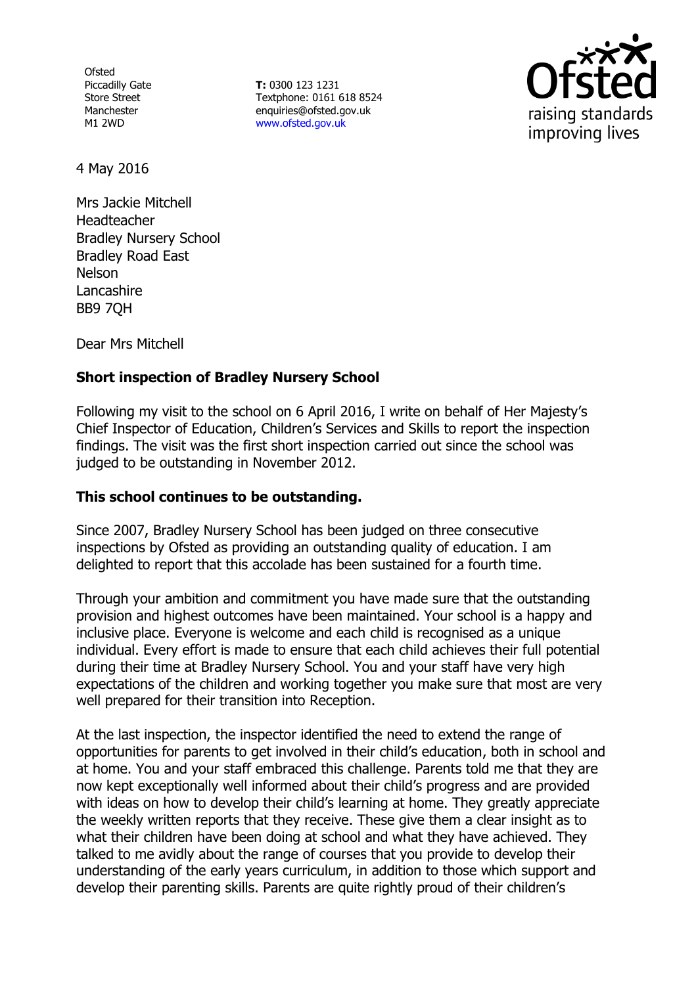**Ofsted** Piccadilly Gate Store Street Manchester M1 2WD

**T:** 0300 123 1231 Textphone: 0161 618 8524 enquiries@ofsted.gov.uk www.ofsted.gov.uk



4 May 2016

Mrs Jackie Mitchell **Headteacher** Bradley Nursery School Bradley Road East Nelson Lancashire BB9 7QH

Dear Mrs Mitchell

# **Short inspection of Bradley Nursery School**

Following my visit to the school on 6 April 2016, I write on behalf of Her Majesty's Chief Inspector of Education, Children's Services and Skills to report the inspection findings. The visit was the first short inspection carried out since the school was judged to be outstanding in November 2012.

## **This school continues to be outstanding.**

Since 2007, Bradley Nursery School has been judged on three consecutive inspections by Ofsted as providing an outstanding quality of education. I am delighted to report that this accolade has been sustained for a fourth time.

Through your ambition and commitment you have made sure that the outstanding provision and highest outcomes have been maintained. Your school is a happy and inclusive place. Everyone is welcome and each child is recognised as a unique individual. Every effort is made to ensure that each child achieves their full potential during their time at Bradley Nursery School. You and your staff have very high expectations of the children and working together you make sure that most are very well prepared for their transition into Reception.

At the last inspection, the inspector identified the need to extend the range of opportunities for parents to get involved in their child's education, both in school and at home. You and your staff embraced this challenge. Parents told me that they are now kept exceptionally well informed about their child's progress and are provided with ideas on how to develop their child's learning at home. They greatly appreciate the weekly written reports that they receive. These give them a clear insight as to what their children have been doing at school and what they have achieved. They talked to me avidly about the range of courses that you provide to develop their understanding of the early years curriculum, in addition to those which support and develop their parenting skills. Parents are quite rightly proud of their children's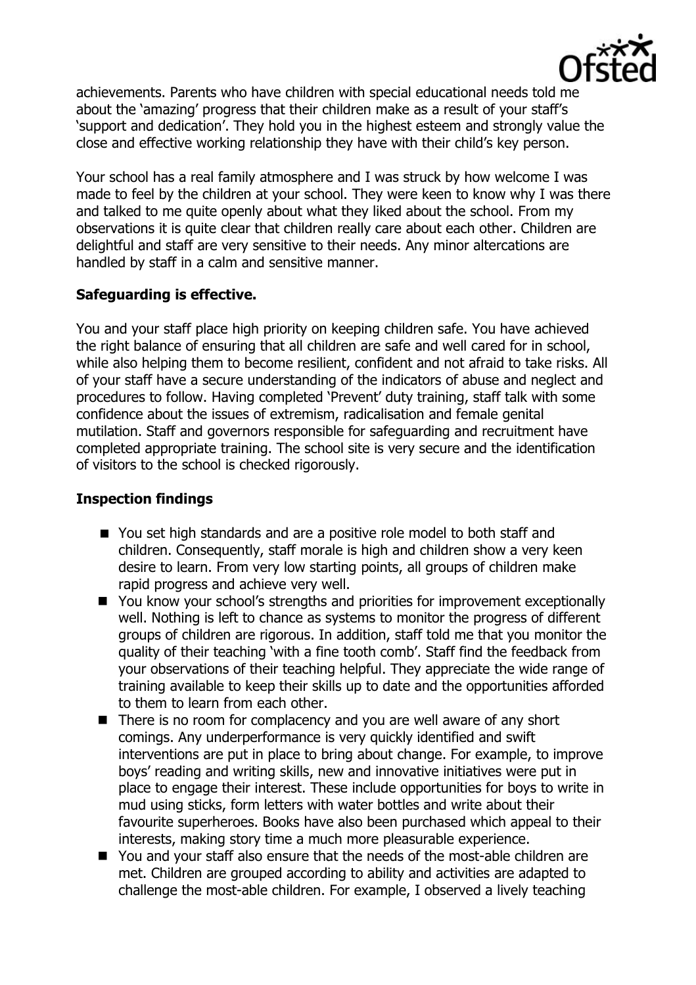

achievements. Parents who have children with special educational needs told me about the 'amazing' progress that their children make as a result of your staff's 'support and dedication'. They hold you in the highest esteem and strongly value the close and effective working relationship they have with their child's key person.

Your school has a real family atmosphere and I was struck by how welcome I was made to feel by the children at your school. They were keen to know why I was there and talked to me quite openly about what they liked about the school. From my observations it is quite clear that children really care about each other. Children are delightful and staff are very sensitive to their needs. Any minor altercations are handled by staff in a calm and sensitive manner.

# **Safeguarding is effective.**

You and your staff place high priority on keeping children safe. You have achieved the right balance of ensuring that all children are safe and well cared for in school, while also helping them to become resilient, confident and not afraid to take risks. All of your staff have a secure understanding of the indicators of abuse and neglect and procedures to follow. Having completed 'Prevent' duty training, staff talk with some confidence about the issues of extremism, radicalisation and female genital mutilation. Staff and governors responsible for safeguarding and recruitment have completed appropriate training. The school site is very secure and the identification of visitors to the school is checked rigorously.

## **Inspection findings**

- You set high standards and are a positive role model to both staff and children. Consequently, staff morale is high and children show a very keen desire to learn. From very low starting points, all groups of children make rapid progress and achieve very well.
- You know your school's strengths and priorities for improvement exceptionally well. Nothing is left to chance as systems to monitor the progress of different groups of children are rigorous. In addition, staff told me that you monitor the quality of their teaching 'with a fine tooth comb'. Staff find the feedback from your observations of their teaching helpful. They appreciate the wide range of training available to keep their skills up to date and the opportunities afforded to them to learn from each other.
- $\blacksquare$  There is no room for complacency and you are well aware of any short comings. Any underperformance is very quickly identified and swift interventions are put in place to bring about change. For example, to improve boys' reading and writing skills, new and innovative initiatives were put in place to engage their interest. These include opportunities for boys to write in mud using sticks, form letters with water bottles and write about their favourite superheroes. Books have also been purchased which appeal to their interests, making story time a much more pleasurable experience.
- You and your staff also ensure that the needs of the most-able children are met. Children are grouped according to ability and activities are adapted to challenge the most-able children. For example, I observed a lively teaching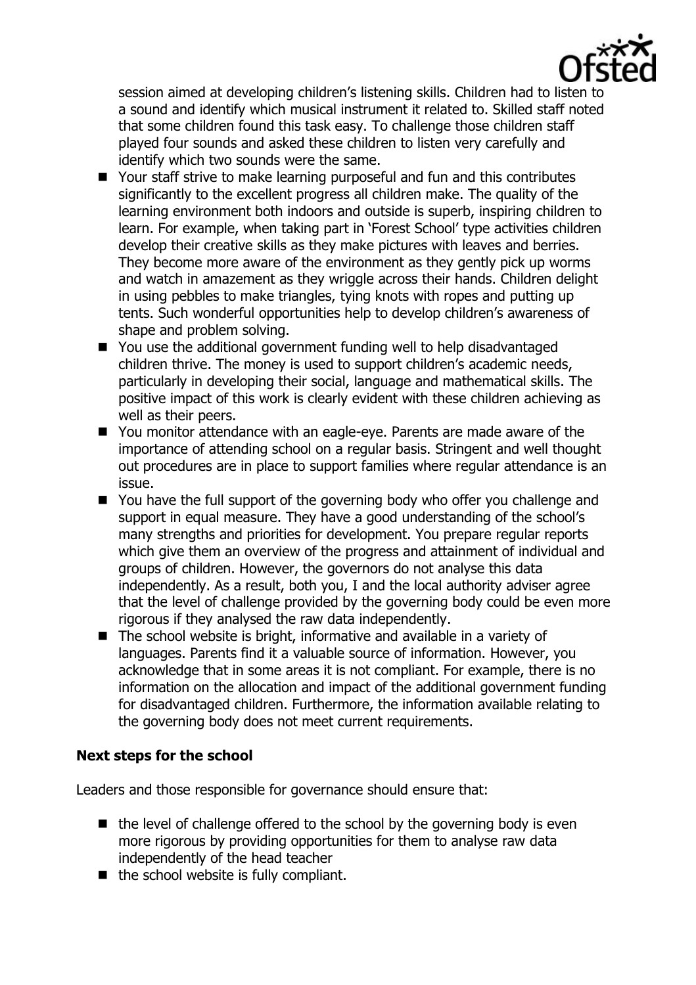

session aimed at developing children's listening skills. Children had to listen to a sound and identify which musical instrument it related to. Skilled staff noted that some children found this task easy. To challenge those children staff played four sounds and asked these children to listen very carefully and identify which two sounds were the same.

- Your staff strive to make learning purposeful and fun and this contributes significantly to the excellent progress all children make. The quality of the learning environment both indoors and outside is superb, inspiring children to learn. For example, when taking part in 'Forest School' type activities children develop their creative skills as they make pictures with leaves and berries. They become more aware of the environment as they gently pick up worms and watch in amazement as they wriggle across their hands. Children delight in using pebbles to make triangles, tying knots with ropes and putting up tents. Such wonderful opportunities help to develop children's awareness of shape and problem solving.
- You use the additional government funding well to help disadvantaged children thrive. The money is used to support children's academic needs, particularly in developing their social, language and mathematical skills. The positive impact of this work is clearly evident with these children achieving as well as their peers.
- You monitor attendance with an eagle-eve. Parents are made aware of the importance of attending school on a regular basis. Stringent and well thought out procedures are in place to support families where regular attendance is an issue.
- You have the full support of the governing body who offer you challenge and support in equal measure. They have a good understanding of the school's many strengths and priorities for development. You prepare regular reports which give them an overview of the progress and attainment of individual and groups of children. However, the governors do not analyse this data independently. As a result, both you, I and the local authority adviser agree that the level of challenge provided by the governing body could be even more rigorous if they analysed the raw data independently.
- The school website is bright, informative and available in a variety of languages. Parents find it a valuable source of information. However, you acknowledge that in some areas it is not compliant. For example, there is no information on the allocation and impact of the additional government funding for disadvantaged children. Furthermore, the information available relating to the governing body does not meet current requirements.

## **Next steps for the school**

Leaders and those responsible for governance should ensure that:

- $\blacksquare$  the level of challenge offered to the school by the governing body is even more rigorous by providing opportunities for them to analyse raw data independently of the head teacher
- $\blacksquare$  the school website is fully compliant.